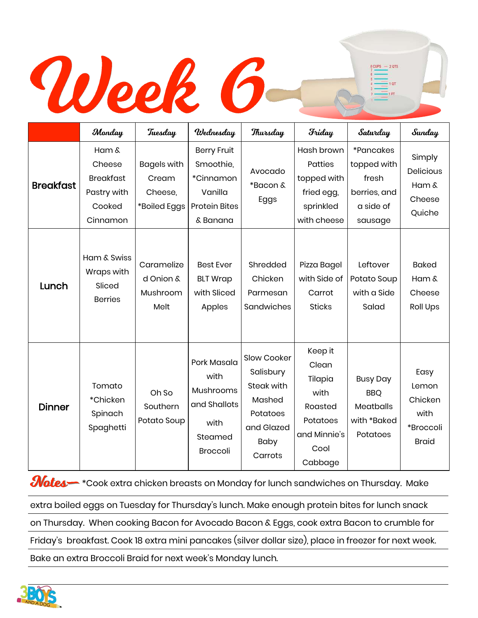## Week 6

|                  | Monday                                                                   | Tuesday                                                | Wednesday                                                                                   | Thursday                                                                                             | Friday                                                                                        | Saturday                                                                  | Sunday                                                        |
|------------------|--------------------------------------------------------------------------|--------------------------------------------------------|---------------------------------------------------------------------------------------------|------------------------------------------------------------------------------------------------------|-----------------------------------------------------------------------------------------------|---------------------------------------------------------------------------|---------------------------------------------------------------|
| <b>Breakfast</b> | Ham &<br>Cheese<br><b>Breakfast</b><br>Pastry with<br>Cooked<br>Cinnamon | <b>Bagels with</b><br>Cream<br>Cheese,<br>*Boiled Eggs | <b>Berry Fruit</b><br>Smoothie,<br>*Cinnamon<br>Vanilla<br><b>Protein Bites</b><br>& Banana | Avocado<br>*Bacon &<br>Eggs                                                                          | Hash brown<br>Patties<br>topped with<br>fried egg,<br>sprinkled<br>with cheese                | *Pancakes<br>topped with<br>fresh<br>berries, and<br>a side of<br>sausage | Simply<br>Delicious<br>Ham &<br>Cheese<br>Quiche              |
| Lunch            | Ham & Swiss<br>Wraps with<br>Sliced<br><b>Berries</b>                    | Caramelize<br>d Onion &<br>Mushroom<br>Melt            | <b>Best Ever</b><br><b>BLT Wrap</b><br>with Sliced<br>Apples                                | Shredded<br>Chicken<br>Parmesan<br>Sandwiches                                                        | Pizza Bagel<br>with Side of<br>Carrot<br><b>Sticks</b>                                        | Leftover<br>Potato Soup<br>with a Side<br>Salad                           | <b>Baked</b><br>Ham &<br>Cheese<br><b>Roll Ups</b>            |
| <b>Dinner</b>    | Tomato<br>*Chicken<br>Spinach<br>Spaghetti                               | Oh So<br>Southern<br>Potato Soup                       | Pork Masala<br>with<br>Mushrooms<br>and Shallots<br>with<br>Steamed<br><b>Broccoli</b>      | Slow Cooker<br>Salisbury<br>Steak with<br>Mashed<br>Potatoes<br>and Glazed<br><b>Baby</b><br>Carrots | Keep it<br>Clean<br>Tilapia<br>with<br>Roasted<br>Potatoes<br>and Minnie's<br>Cool<br>Cabbage | <b>Busy Day</b><br><b>BBQ</b><br>Meatballs<br>with *Baked<br>Potatoes     | Easy<br>Lemon<br>Chicken<br>with<br>*Broccoli<br><b>Braid</b> |

**Mates -** \*Cook extra chicken breasts on Monday for lunch sandwiches on Thursday. Make

extra boiled eggs on Tuesday for Thursday's lunch. Make enough protein bites for lunch snack

on Thursday. When cooking Bacon for Avocado Bacon & Eggs, cook extra Bacon to crumble for

Friday's breakfast. Cook 18 extra mini pancakes (silver dollar size), place in freezer for next week.

Bake an extra Broccoli Braid for next week's Monday lunch.